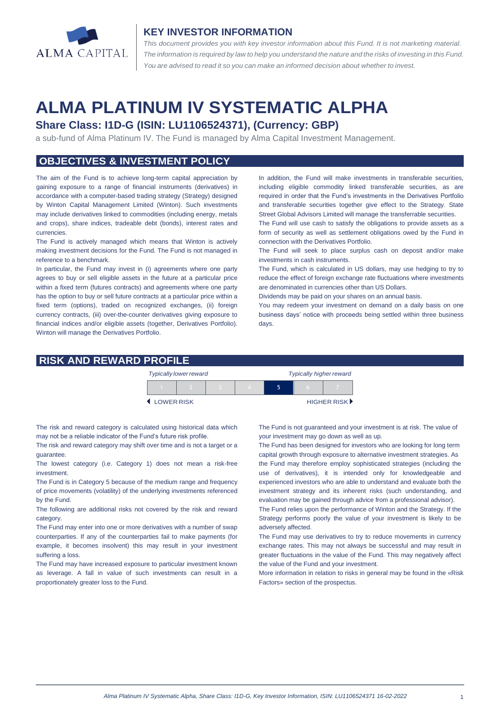

#### **KEY INVESTOR INFORMATION**

*This document provides you with key investor information about this Fund. It is not marketing material.*  The information is required by law to help you understand the nature and the risks of investing in this Fund. *You are advised to read it so you can make an informed decision about whether to invest.*

# **ALMA PLATINUM IV SYSTEMATIC ALPHA**

## **Share Class: I1D-G (ISIN: LU1106524371), (Currency: GBP)**

a sub-fund of Alma Platinum IV. The Fund is managed by Alma Capital Investment Management.

## **OBJECTIVES & INVESTMENT POLICY**

The aim of the Fund is to achieve long-term capital appreciation by gaining exposure to a range of financial instruments (derivatives) in accordance with a computer-based trading strategy (Strategy) designed by Winton Capital Management Limited (Winton). Such investments may include derivatives linked to commodities (including energy, metals and crops), share indices, tradeable debt (bonds), interest rates and currencies.

The Fund is actively managed which means that Winton is actively making investment decisions for the Fund. The Fund is not managed in reference to a benchmark.

In particular, the Fund may invest in (i) agreements where one party agrees to buy or sell eligible assets in the future at a particular price within a fixed term (futures contracts) and agreements where one party has the option to buy or sell future contracts at a particular price within a fixed term (options), traded on recognized exchanges, (ii) foreign currency contracts, (iii) over-the-counter derivatives giving exposure to financial indices and/or eligible assets (together, Derivatives Portfolio). Winton will manage the Derivatives Portfolio.

In addition, the Fund will make investments in transferable securities, including eligible commodity linked transferable securities, as are required in order that the Fund's investments in the Derivatives Portfolio and transferable securities together give effect to the Strategy. State Street Global Advisors Limited will manage the transferrable securities.

The Fund will use cash to satisfy the obligations to provide assets as a form of security as well as settlement obligations owed by the Fund in connection with the Derivatives Portfolio.

The Fund will seek to place surplus cash on deposit and/or make investments in cash instruments.

The Fund, which is calculated in US dollars, may use hedging to try to reduce the effect of foreign exchange rate fluctuations where investments are denominated in currencies other than US Dollars.

Dividends may be paid on your shares on an annual basis.

You may redeem your investment on demand on a daily basis on one business days' notice with proceeds being settled within three business days.

#### **RISK AND REWARD PROFILE**

|            | <b>Typically lower reward</b> |  | <b>Typically higher reward</b> |  |  |             |
|------------|-------------------------------|--|--------------------------------|--|--|-------------|
|            |                               |  |                                |  |  |             |
| LOWER RISK |                               |  |                                |  |  | HIGHER RISK |

The risk and reward category is calculated using historical data which may not be a reliable indicator of the Fund's future risk profile.

The risk and reward category may shift over time and is not a target or a guarantee.

The lowest category (i.e. Category 1) does not mean a risk-free investment.

The Fund is in Category 5 because of the medium range and frequency of price movements (volatility) of the underlying investments referenced by the Fund.

The following are additional risks not covered by the risk and reward category.

The Fund may enter into one or more derivatives with a number of swap counterparties. If any of the counterparties fail to make payments (for example, it becomes insolvent) this may result in your investment suffering a loss.

The Fund may have increased exposure to particular investment known as leverage. A fall in value of such investments can result in a proportionately greater loss to the Fund.

The Fund is not guaranteed and your investment is at risk. The value of your investment may go down as well as up.

The Fund has been designed for investors who are looking for long term capital growth through exposure to alternative investment strategies. As the Fund may therefore employ sophisticated strategies (including the use of derivatives), it is intended only for knowledgeable and experienced investors who are able to understand and evaluate both the investment strategy and its inherent risks (such understanding, and evaluation may be gained through advice from a professional advisor).

The Fund relies upon the performance of Winton and the Strategy. If the Strategy performs poorly the value of your investment is likely to be adversely affected.

The Fund may use derivatives to try to reduce movements in currency exchange rates. This may not always be successful and may result in greater fluctuations in the value of the Fund. This may negatively affect the value of the Fund and your investment.

More information in relation to risks in general may be found in the «Risk Factors» section of the prospectus.